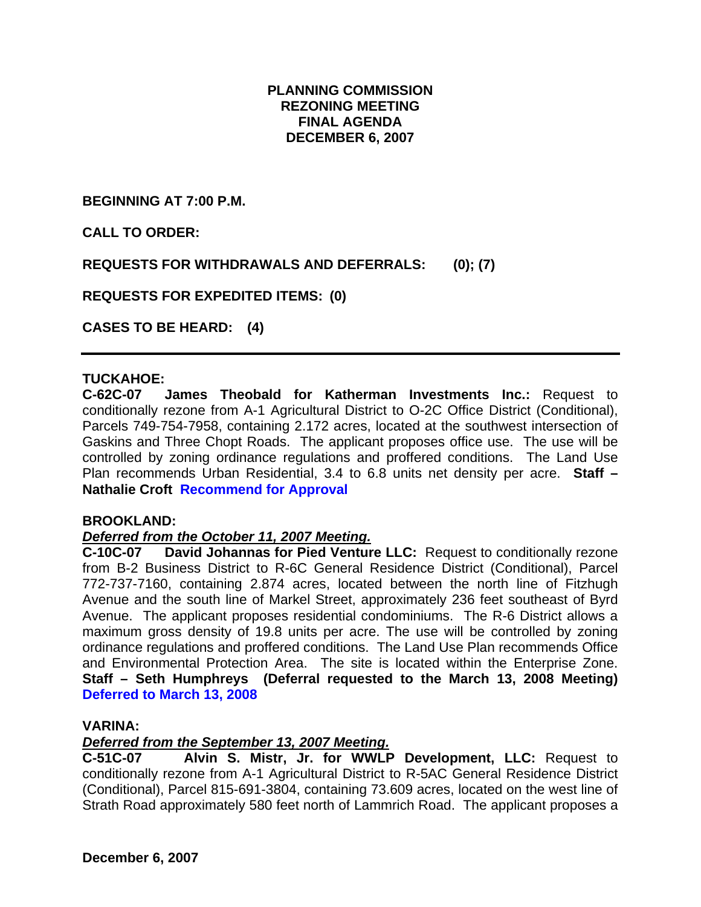# **PLANNING COMMISSION REZONING MEETING FINAL AGENDA DECEMBER 6, 2007**

**BEGINNING AT 7:00 P.M.** 

**CALL TO ORDER:** 

**REQUESTS FOR WITHDRAWALS AND DEFERRALS: (0); (7)** 

**REQUESTS FOR EXPEDITED ITEMS: (0)** 

**CASES TO BE HEARD: (4)** 

# **TUCKAHOE:**

**C-62C-07 James Theobald for Katherman Investments Inc.:** Request to conditionally rezone from A-1 Agricultural District to O-2C Office District (Conditional), Parcels 749-754-7958, containing 2.172 acres, located at the southwest intersection of Gaskins and Three Chopt Roads. The applicant proposes office use. The use will be controlled by zoning ordinance regulations and proffered conditions. The Land Use Plan recommends Urban Residential, 3.4 to 6.8 units net density per acre. **Staff – Nathalie Croft Recommend for Approval** 

#### **BROOKLAND:**

#### *Deferred from the October 11, 2007 Meeting.*

**C-10C-07 David Johannas for Pied Venture LLC:** Request to conditionally rezone from B-2 Business District to R-6C General Residence District (Conditional), Parcel 772-737-7160, containing 2.874 acres, located between the north line of Fitzhugh Avenue and the south line of Markel Street, approximately 236 feet southeast of Byrd Avenue. The applicant proposes residential condominiums. The R-6 District allows a maximum gross density of 19.8 units per acre. The use will be controlled by zoning ordinance regulations and proffered conditions. The Land Use Plan recommends Office and Environmental Protection Area. The site is located within the Enterprise Zone. **Staff – Seth Humphreys (Deferral requested to the March 13, 2008 Meeting) Deferred to March 13, 2008**

#### **VARINA:**

#### *Deferred from the September 13, 2007 Meeting.*

**C-51C-07 Alvin S. Mistr, Jr. for WWLP Development, LLC:** Request to conditionally rezone from A-1 Agricultural District to R-5AC General Residence District (Conditional), Parcel 815-691-3804, containing 73.609 acres, located on the west line of Strath Road approximately 580 feet north of Lammrich Road. The applicant proposes a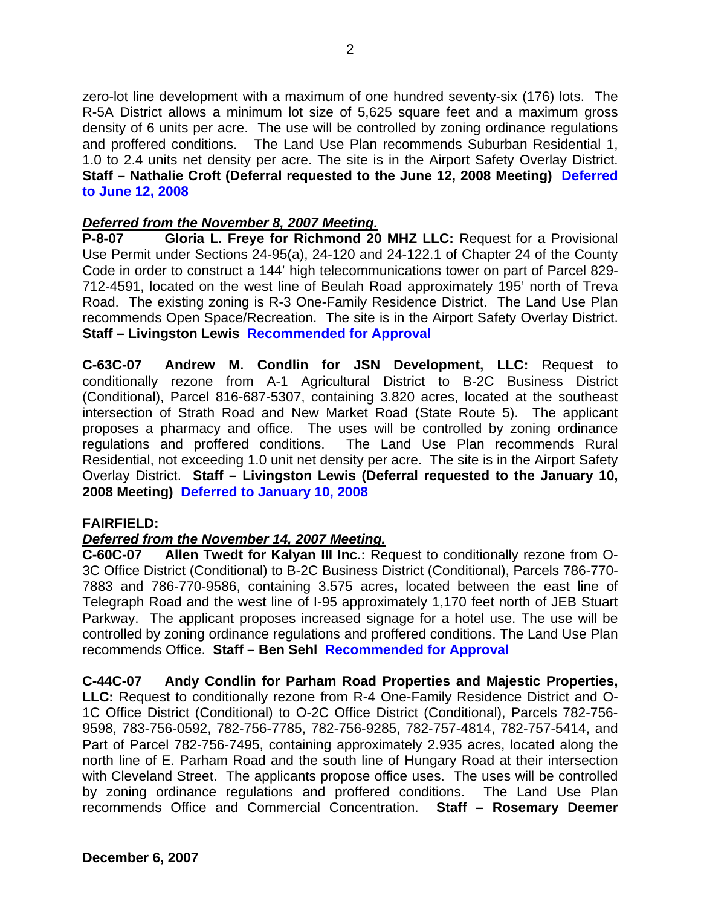zero-lot line development with a maximum of one hundred seventy-six (176) lots. The R-5A District allows a minimum lot size of 5,625 square feet and a maximum gross density of 6 units per acre. The use will be controlled by zoning ordinance regulations and proffered conditions. The Land Use Plan recommends Suburban Residential 1, 1.0 to 2.4 units net density per acre. The site is in the Airport Safety Overlay District. **Staff – Nathalie Croft (Deferral requested to the June 12, 2008 Meeting) Deferred to June 12, 2008** 

# *Deferred from the November 8, 2007 Meeting.*

**P-8-07 Gloria L. Freye for Richmond 20 MHZ LLC:** Request for a Provisional Use Permit under Sections 24-95(a), 24-120 and 24-122.1 of Chapter 24 of the County Code in order to construct a 144' high telecommunications tower on part of Parcel 829- 712-4591, located on the west line of Beulah Road approximately 195' north of Treva Road. The existing zoning is R-3 One-Family Residence District. The Land Use Plan recommends Open Space/Recreation. The site is in the Airport Safety Overlay District. **Staff – Livingston Lewis Recommended for Approval** 

**C-63C-07 Andrew M. Condlin for JSN Development, LLC:** Request to conditionally rezone from A-1 Agricultural District to B-2C Business District (Conditional), Parcel 816-687-5307, containing 3.820 acres, located at the southeast intersection of Strath Road and New Market Road (State Route 5). The applicant proposes a pharmacy and office. The uses will be controlled by zoning ordinance regulations and proffered conditions. The Land Use Plan recommends Rural Residential, not exceeding 1.0 unit net density per acre. The site is in the Airport Safety Overlay District. **Staff – Livingston Lewis (Deferral requested to the January 10, 2008 Meeting) Deferred to January 10, 2008** 

# **FAIRFIELD:**

# *Deferred from the November 14, 2007 Meeting.*

**C-60C-07 Allen Twedt for Kalyan III Inc.:** Request to conditionally rezone from O-3C Office District (Conditional) to B-2C Business District (Conditional), Parcels 786-770- 7883 and 786-770-9586, containing 3.575 acres**,** located between the east line of Telegraph Road and the west line of I-95 approximately 1,170 feet north of JEB Stuart Parkway. The applicant proposes increased signage for a hotel use. The use will be controlled by zoning ordinance regulations and proffered conditions. The Land Use Plan recommends Office. **Staff – Ben Sehl Recommended for Approval**

**C-44C-07 Andy Condlin for Parham Road Properties and Majestic Properties, LLC:** Request to conditionally rezone from R-4 One-Family Residence District and O-1C Office District (Conditional) to O-2C Office District (Conditional), Parcels 782-756- 9598, 783-756-0592, 782-756-7785, 782-756-9285, 782-757-4814, 782-757-5414, and Part of Parcel 782-756-7495, containing approximately 2.935 acres, located along the north line of E. Parham Road and the south line of Hungary Road at their intersection with Cleveland Street. The applicants propose office uses. The uses will be controlled by zoning ordinance regulations and proffered conditions. The Land Use Plan recommends Office and Commercial Concentration. **Staff – Rosemary Deemer**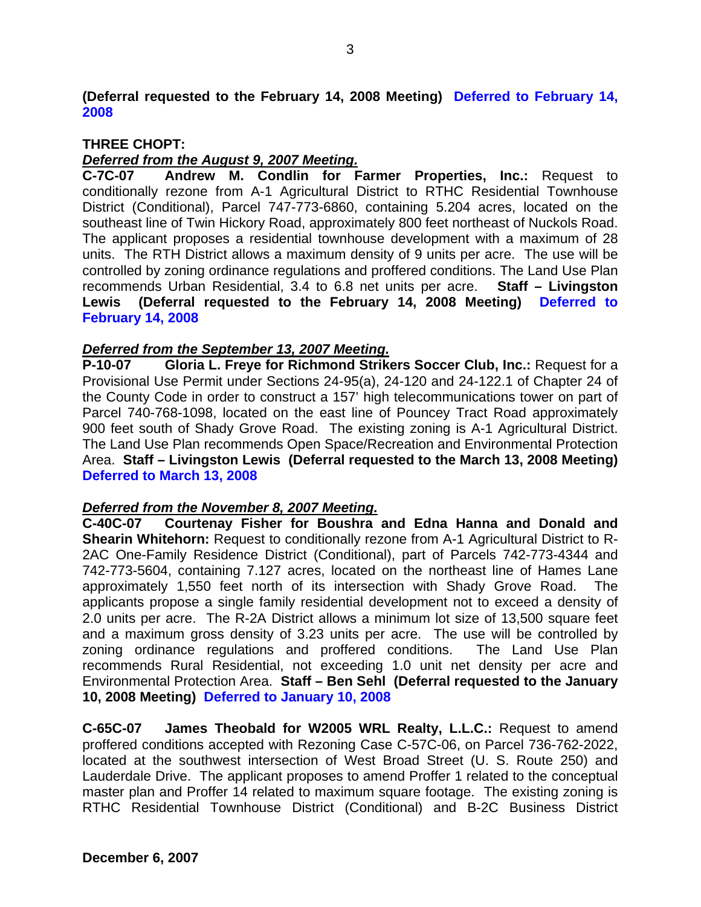**(Deferral requested to the February 14, 2008 Meeting) Deferred to February 14, 2008** 

### **THREE CHOPT:**

### *Deferred from the August 9, 2007 Meeting.*

**C-7C-07 Andrew M. Condlin for Farmer Properties, Inc.:** Request to conditionally rezone from A-1 Agricultural District to RTHC Residential Townhouse District (Conditional), Parcel 747-773-6860, containing 5.204 acres, located on the southeast line of Twin Hickory Road, approximately 800 feet northeast of Nuckols Road. The applicant proposes a residential townhouse development with a maximum of 28 units. The RTH District allows a maximum density of 9 units per acre. The use will be controlled by zoning ordinance regulations and proffered conditions. The Land Use Plan recommends Urban Residential, 3.4 to 6.8 net units per acre. **Staff – Livingston Lewis (Deferral requested to the February 14, 2008 Meeting) Deferred to February 14, 2008** 

### *Deferred from the September 13, 2007 Meeting.*

**P-10-07 Gloria L. Freye for Richmond Strikers Soccer Club, Inc.:** Request for a Provisional Use Permit under Sections 24-95(a), 24-120 and 24-122.1 of Chapter 24 of the County Code in order to construct a 157' high telecommunications tower on part of Parcel 740-768-1098, located on the east line of Pouncey Tract Road approximately 900 feet south of Shady Grove Road. The existing zoning is A-1 Agricultural District. The Land Use Plan recommends Open Space/Recreation and Environmental Protection Area. **Staff – Livingston Lewis (Deferral requested to the March 13, 2008 Meeting) Deferred to March 13, 2008** 

#### *Deferred from the November 8, 2007 Meeting.*

**C-40C-07 Courtenay Fisher for Boushra and Edna Hanna and Donald and Shearin Whitehorn:** Request to conditionally rezone from A-1 Agricultural District to R-2AC One-Family Residence District (Conditional), part of Parcels 742-773-4344 and 742-773-5604, containing 7.127 acres, located on the northeast line of Hames Lane approximately 1,550 feet north of its intersection with Shady Grove Road. The applicants propose a single family residential development not to exceed a density of 2.0 units per acre. The R-2A District allows a minimum lot size of 13,500 square feet and a maximum gross density of 3.23 units per acre. The use will be controlled by zoning ordinance regulations and proffered conditions. The Land Use Plan recommends Rural Residential, not exceeding 1.0 unit net density per acre and Environmental Protection Area. **Staff – Ben Sehl (Deferral requested to the January 10, 2008 Meeting) Deferred to January 10, 2008** 

**C-65C-07 James Theobald for W2005 WRL Realty, L.L.C.:** Request to amend proffered conditions accepted with Rezoning Case C-57C-06, on Parcel 736-762-2022, located at the southwest intersection of West Broad Street (U. S. Route 250) and Lauderdale Drive. The applicant proposes to amend Proffer 1 related to the conceptual master plan and Proffer 14 related to maximum square footage. The existing zoning is RTHC Residential Townhouse District (Conditional) and B-2C Business District